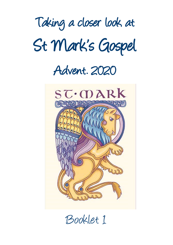

Advent. 2020



Booklet 1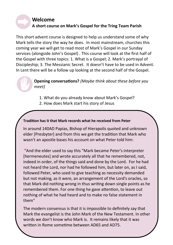## **Welcome A short course on Mark's Gospel for the Tring Team Parish**

This short advent course is designed to help us understand some of why Mark tells the story the way he does. In most mainstream, churches this coming year we will get to read most of Mark's Gospel in our Sunday services (alongside John's Gospel) . This course will look at the first half of the Gospel with three topics: 1. What is a Gospel; 2. Mark's portrayal of Discipleship; 3. The Messianic Secret. It doesn't have to be used in Advent. In Lent there will be a follow up looking at the second half of the Gospel.



**Opening conversations?** *(Maybe think about these before you meet)*

- 1. What do you already know about Mark's Gospel?
- 2. How does Mark start his story of Jesus

#### **Tradition has it that Mark records what he received from Peter**

In around 140AD Papias, Bishop of Hierapolis quoted and unknown elder [Presbyter] and from this we get the tradition that Mark who wasn't an apostle bases his account on what Peter told him:

"And the elder used to say this "Mark became Peter's interpreter [hermeneutes] and wrote accurately all that he remembered, not, indeed in order, of the things said and done by the Lord. For he had not heard the Lord, nor had he followed him, but later on, as I said, followed Peter, who used to give teaching as necessity demanded but not making, as it were, an arrangement of the Lord's oracles, so that Mark did nothing wrong in thus writing down single points as he remembered them. For one thing he gave attention, to leave out nothing of what he had heard and to make no false statement in them"

The modern consensus is that it is impossible to definitely say that Mark the evangelist is the John Mark of the New Testament. In other words we don't know who Mark is. It remains likely that it was written in Rome sometime between AD65 and AD75.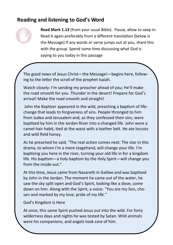# **Reading and listening to God's Word**



**Read Mark 1.13** (from your usual Bible). Pause, allow to seep in. Read it again preferably from a different translation (below is the Message) If any words or verse jumps out at you, share this with the group. Spend some time discussing what God is saying to you today in this passage

The good news of Jesus Christ—the Message!—begins here, following to the letter the scroll of the prophet Isaiah.

Watch closely: I'm sending my preacher ahead of you; He'll make the road smooth for you. Thunder in the desert! Prepare for God's arrival! Make the road smooth and straight!

John the Baptizer appeared in the wild, preaching a baptism of lifechange that leads to forgiveness of sins. People thronged to him from Judea and Jerusalem and, as they confessed their sins, were baptized by him in the Jordan River into a changed life. John wore a camel-hair habit, tied at the waist with a leather belt. He ate locusts and wild field honey.

As he preached he said, "The real action comes next: The star in this drama, to whom I'm a mere stagehand, will change your life. I'm baptizing you here in the river, turning your old life in for a kingdom life. His baptism—a holy baptism by the Holy Spirit—will change you from the inside out."

At this time, Jesus came from Nazareth in Galilee and was baptized by John in the Jordan. The moment he came out of the water, he saw the sky split open and God's Spirit, looking like a dove, come down on him. Along with the Spirit, a voice: "You are my Son, chosen and marked by my love, pride of my life."

God's Kingdom Is Here

At once, this same Spirit pushed Jesus out into the wild. For forty wilderness days and nights he was tested by Satan. Wild animals were his companions, and angels took care of him.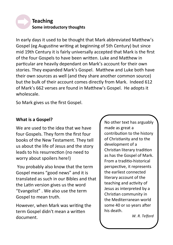# **Teaching Some introductory thoughts**

In early days it used to be thought that Mark abbreviated Matthew's Gospel (eg Augustine writing at beginning of 5th Century) but since mid 19th Century it is fairly universally accepted that Mark is the first of the four Gospels to have been written. Luke and Matthew in particular are heavily dependant on Mark's account for their own stories. They expanded Mark's Gospel. Matthew and Luke both have their own sources as well (and they share another common source) but the bulk of their account comes directly from Mark. Indeed 612 of Mark's 662 verses are found in Matthew's Gospel. He adopts it wholescale.

So Mark gives us the first Gospel.

#### **What is a Gospel?**

We are used to the idea that we have four Gospels. They form the first four books of the New Testament. They tell us about the life of Jesus and the story leads to his resurrection (no need to worry about spoilers here!)

You probably also know that the term Gospel means "good news" and it is translated as such in our Bibles and that the Latin version gives us the word "Evangelist" . We also use the term Gospel to mean truth.

However, when Mark was writing the term Gospel didn't mean a written document.

No other text has arguably made as great a contribution to the history of Christianity and to the development of a Christian literary tradition as has the Gospel of Mark. From a traditio-historical perspective, it represents the earliest connected literary account of the teaching and activity of Jesus as interpreted by a Christian community in the Mediterranean world some 40 or so years after his death.

*W. R. Telford*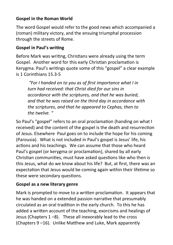## **Gospel in the Roman World**

The word Gospel would refer to the good news which accompanied a (roman) military victory, and the ensuing triumphal procession through the streets of Rome.

## **Gospel in Paul's writing**

Before Mark was writing, Christians were already using the term Gospel. Another word for this early Christian proclamation is Kerygma. Paul's writings quote some of this "gospel" a clear example is 1 Corinthians 15.3-5

*"For I handed on to you as of first importance what I in turn had received: that Christ died for our sins in accordance with the scriptures, and that he was buried, and that he was raised on the third day in accordance with the scriptures, and that he appeared to Cephas, then to the twelve. "*

So Paul's "gospel" refers to an oral proclamation (handing on what I received) and the content of the gospel is the death and resurrection of Jesus. Elsewhere Paul goes on to include the hope for his coming (Parousia). What is not included in Paul's gospel is Jesus' life, his actions and his teachings. We can assume that those who heard Paul's gospel (or kerygma or proclamation), shared by all early Christian communities, must have asked questions like who then is this Jesus, what do we know about his life? But, at first, there was an expectation that Jesus would be coming again within their lifetime so these were secondary questions.

## **Gospel as a new literary genre**

Mark is prompted to move to a written proclamation. It appears that he was handed on a extended passion narrative that presumably circulated as an oral tradition in the early church. To this he has added a written account of the teaching, exorcisms and healings of Jesus (Chapters 1 –8). These all inexorably lead to the cross (Chapters 9 –16). Unlike Matthew and Luke, Mark apparently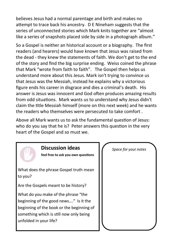believes Jesus had a normal parentage and birth and makes no attempt to trace back his ancestry. D E Nineham suggests that the series of unconnected stories which Mark knits together are "almost like a series of snapshots placed side by side in a photograph album."

So a Gospel is neither an historical account or a biography. The first readers (and hearers) would have known that Jesus was raised from the dead - they knew the statements of faith. We don't get to the end of the story and find the big surprise ending. Weiss coined the phrase that Mark "wrote from faith to faith". The Gospel then helps us understand more about this Jesus. Mark isn't trying to convince us that Jesus was the Messiah, instead he explains why a victorious figure ends his career in disgrace and dies a criminal's death. His answer is Jesus was innocent and God often produces amazing results from odd situations. Mark wants us to understand why Jesus didn't claim the title Messiah himself (more on this next week) and he wants the readers who themselves were persecuted to take comfort .

Above all Mark wants us to ask the fundamental question of Jesus: who do you say that he is? Peter answers this question in the very heart of the Gospel and so must we.

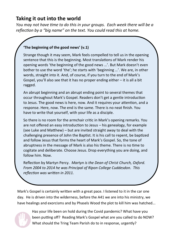## **Taking it out into the world**

*You may not have time to do this in your groups. Each week there will be a reflection by a "big name" on the text. You could read this at home.*

#### **'The beginning of the good news' (v.1)**

Strange though it may seem, Mark feels compelled to tell us in the opening sentence that this is the beginning. Most translations of Mark render his opening words 'the beginning of the good news …'. But Mark doesn't even bother to use the word 'the'; he starts with 'beginning …'. We are, in other words, straight into it. And, of course, if you turn to the end of Mark's Gospel, you'll also see that it has no proper ending either – it is all a bit ragged.

An abrupt beginning and an abrupt ending point to several themes that occur throughout Mark's Gospel. Readers don't get a gentle introduction to Jesus. The good news is here, now. And it requires your attention, and a response. Here, now. The end is the same. There is no neat finish. You have to write that yourself, with your life as a disciple.

So there is no room for the armchair critic in Mark's opening remarks. You are not offered an easy introduction to Jesus – his genealogy, for example (see Luke and Matthew) – but are invited straight away to deal with the challenging presence of John the Baptist. It is his call to repent, be baptized and follow Jesus that forms the heart of Mark's Gospel. So, the tone of abruptness in the message of Mark is also his theme. There is no time to cogitate and deliberate. Choose Jesus. Drop everything you are doing, and follow him. Now.

Reflection by Martyn Percy. *Martyn is the Dean of Christ Church, Oxford. From 2004 to 2014 he was Principal of Ripon College Cuddesdon. This reflection was written in 2011.*

Mark's Gospel is certainly written with a great pace. I listened to it in the car one day. He is driven into the wilderness, before the A41 we are into his ministry, we have healings and exorcisms and by Phasels Wood the plot to kill him was hatched...

Has your life been on hold during the Covid pandemic? What have you been putting off? Reading Mark's Gospel what are you called to do NOW? What should the Tring Team Parish do to in response, urgently?